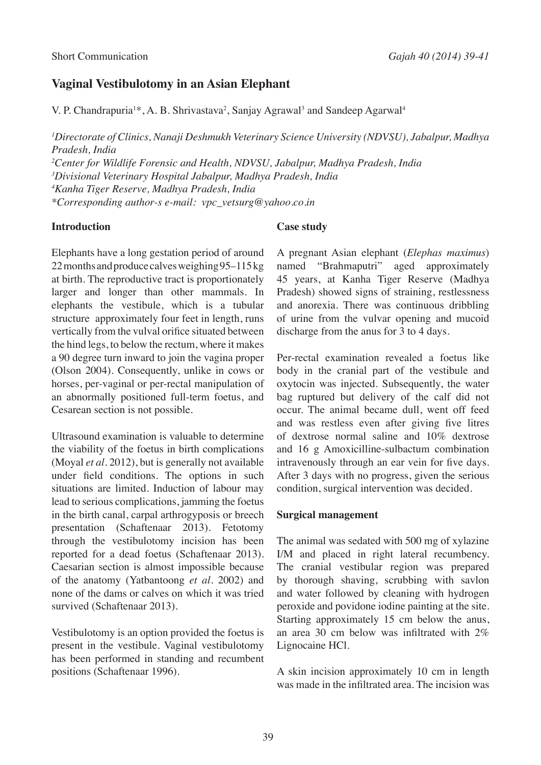# **Vaginal Vestibulotomy in an Asian Elephant**

V. P. Chandrapuria<sup>1\*</sup>, A. B. Shrivastava<sup>2</sup>, Sanjay Agrawal<sup>3</sup> and Sandeep Agarwal<sup>4</sup>

*1 Directorate of Clinics, Nanaji Deshmukh Veterinary Science University (NDVSU), Jabalpur, Madhya Pradesh, India*

*2 Center for Wildlife Forensic and Health, NDVSU, Jabalpur, Madhya Pradesh, India*

*3 Divisional Veterinary Hospital Jabalpur, Madhya Pradesh, India*

*4 Kanha Tiger Reserve, Madhya Pradesh, India*

*\*Corresponding author-s e-mail: vpc\_vetsurg@yahoo.co.in*

### **Introduction**

Elephants have a long gestation period of around 22 months and produce calves weighing 95–115 kg at birth. The reproductive tract is proportionately larger and longer than other mammals. In elephants the vestibule, which is a tubular structure approximately four feet in length, runs vertically from the vulval orifice situated between the hind legs, to below the rectum, where it makes a 90 degree turn inward to join the vagina proper (Olson 2004). Consequently, unlike in cows or horses, per-vaginal or per-rectal manipulation of an abnormally positioned full-term foetus, and Cesarean section is not possible.

Ultrasound examination is valuable to determine the viability of the foetus in birth complications (Moyal *et al*. 2012), but is generally not available under field conditions. The options in such situations are limited. Induction of labour may lead to serious complications, jamming the foetus in the birth canal, carpal arthrogyposis or breech presentation (Schaftenaar 2013). Fetotomy through the vestibulotomy incision has been reported for a dead foetus (Schaftenaar 2013). Caesarian section is almost impossible because of the anatomy (Yatbantoong *et al.* 2002) and none of the dams or calves on which it was tried survived (Schaftenaar 2013).

Vestibulotomy is an option provided the foetus is present in the vestibule. Vaginal vestibulotomy has been performed in standing and recumbent positions (Schaftenaar 1996).

# **Case study**

A pregnant Asian elephant (*Elephas maximus*) named "Brahmaputri" aged approximately 45 years, at Kanha Tiger Reserve (Madhya Pradesh) showed signs of straining, restlessness and anorexia. There was continuous dribbling of urine from the vulvar opening and mucoid discharge from the anus for 3 to 4 days.

Per-rectal examination revealed a foetus like body in the cranial part of the vestibule and oxytocin was injected. Subsequently, the water bag ruptured but delivery of the calf did not occur. The animal became dull, went off feed and was restless even after giving five litres of dextrose normal saline and 10% dextrose and 16 g Amoxicilline-sulbactum combination intravenously through an ear vein for five days. After 3 days with no progress, given the serious condition, surgical intervention was decided.

#### **Surgical management**

The animal was sedated with 500 mg of xylazine I/M and placed in right lateral recumbency. The cranial vestibular region was prepared by thorough shaving, scrubbing with savlon and water followed by cleaning with hydrogen peroxide and povidone iodine painting at the site. Starting approximately 15 cm below the anus, an area 30 cm below was infiltrated with  $2\%$ Lignocaine HCl.

A skin incision approximately 10 cm in length was made in the infiltrated area. The incision was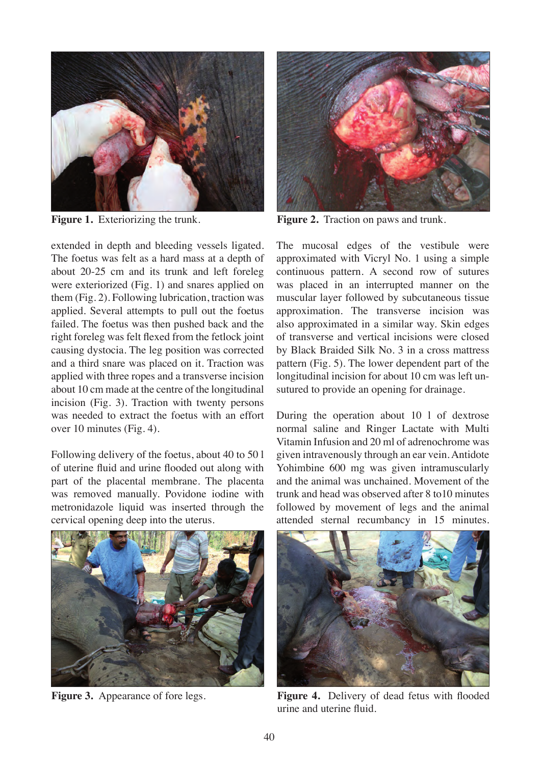

extended in depth and bleeding vessels ligated. The foetus was felt as a hard mass at a depth of about 20-25 cm and its trunk and left foreleg were exteriorized (Fig. 1) and snares applied on them (Fig. 2). Following lubrication, traction was applied. Several attempts to pull out the foetus failed. The foetus was then pushed back and the right foreleg was felt flexed from the fetlock joint causing dystocia. The leg position was corrected and a third snare was placed on it. Traction was applied with three ropes and a transverse incision about 10 cm made at the centre of the longitudinal incision (Fig. 3). Traction with twenty persons was needed to extract the foetus with an effort over 10 minutes (Fig. 4).

Following delivery of the foetus, about 40 to 50 l of uterine fluid and urine flooded out along with part of the placental membrane. The placenta was removed manually. Povidone iodine with metronidazole liquid was inserted through the cervical opening deep into the uterus.



**Figure 3.** Appearance of fore legs.



**Figure 1.** Exteriorizing the trunk. **Figure 2.** Traction on paws and trunk.

The mucosal edges of the vestibule were approximated with Vicryl No. 1 using a simple continuous pattern. A second row of sutures was placed in an interrupted manner on the muscular layer followed by subcutaneous tissue approximation. The transverse incision was also approximated in a similar way. Skin edges of transverse and vertical incisions were closed by Black Braided Silk No. 3 in a cross mattress pattern (Fig. 5). The lower dependent part of the longitudinal incision for about 10 cm was left unsutured to provide an opening for drainage.

During the operation about 10 l of dextrose normal saline and Ringer Lactate with Multi Vitamin Infusion and 20 ml of adrenochrome was given intravenously through an ear vein. Antidote Yohimbine 600 mg was given intramuscularly and the animal was unchained. Movement of the trunk and head was observed after 8 to10 minutes followed by movement of legs and the animal attended sternal recumbancy in 15 minutes.



**Figure 4.** Delivery of dead fetus with flooded urine and uterine fluid.